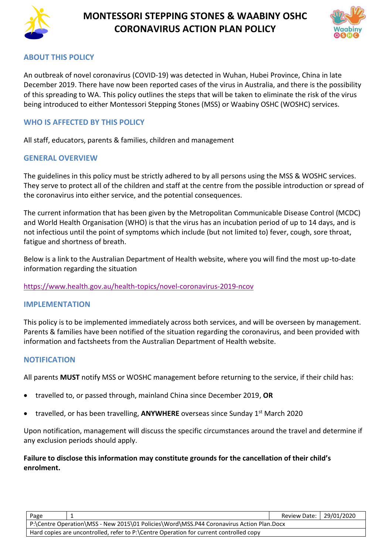

# **MONTESSORI STEPPING STONES & WAABINY OSHC CORONAVIRUS ACTION PLAN POLICY**



### **ABOUT THIS POLICY**

An outbreak of novel coronavirus (COVID-19) was detected in Wuhan, Hubei Province, China in late December 2019. There have now been reported cases of the virus in Australia, and there is the possibility of this spreading to WA. This policy outlines the steps that will be taken to eliminate the risk of the virus being introduced to either Montessori Stepping Stones (MSS) or Waabiny OSHC (WOSHC) services.

### **WHO IS AFFECTED BY THIS POLICY**

All staff, educators, parents & families, children and management

### **GENERAL OVERVIEW**

The guidelines in this policy must be strictly adhered to by all persons using the MSS & WOSHC services. They serve to protect all of the children and staff at the centre from the possible introduction or spread of the coronavirus into either service, and the potential consequences.

The current information that has been given by the Metropolitan Communicable Disease Control (MCDC) and World Health Organisation (WHO) is that the virus has an incubation period of up to 14 days, and is not infectious until the point of symptoms which include (but not limited to) fever, cough, sore throat, fatigue and shortness of breath.

Below is a link to the Australian Department of Health website, where you will find the most up-to-date information regarding the situation

### <https://www.health.gov.au/health-topics/novel-coronavirus-2019-ncov>

#### **IMPLEMENTATION**

This policy is to be implemented immediately across both services, and will be overseen by management. Parents & families have been notified of the situation regarding the coronavirus, and been provided with information and factsheets from the Australian Department of Health website.

### **NOTIFICATION**

All parents **MUST** notify MSS or WOSHC management before returning to the service, if their child has:

- travelled to, or passed through, mainland China since December 2019, **OR**
- travelled, or has been travelling, **ANYWHERE** overseas since Sunday 1st March 2020

Upon notification, management will discuss the specific circumstances around the travel and determine if any exclusion periods should apply.

### **Failure to disclose this information may constitute grounds for the cancellation of their child's enrolment.**

| Page                                                                                     | Review Date:   29/01/2020 |  |  |  |
|------------------------------------------------------------------------------------------|---------------------------|--|--|--|
| P:\Centre Operation\MSS - New 2015\01 Policies\Word\MSS.P44 Coronavirus Action Plan.Docx |                           |  |  |  |
| Hard copies are uncontrolled, refer to P:\Centre Operation for current controlled copy   |                           |  |  |  |